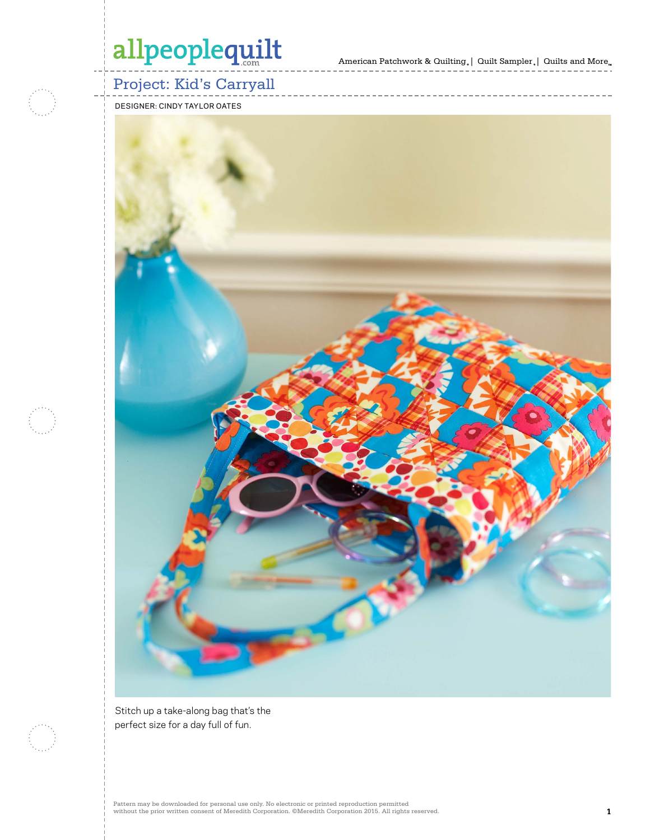American Patchwork & Quilting  $_{\circ} \, | \,$  Quilt Sampler  $_{\circ} \, | \,$  Quilts and More  $_{\circ} \,$ 



### Project: Kid's Carryall

DESIGNER: CINDY TAYLOR OATES



Stitch up a take-along bag that's the perfect size for a day full of fun.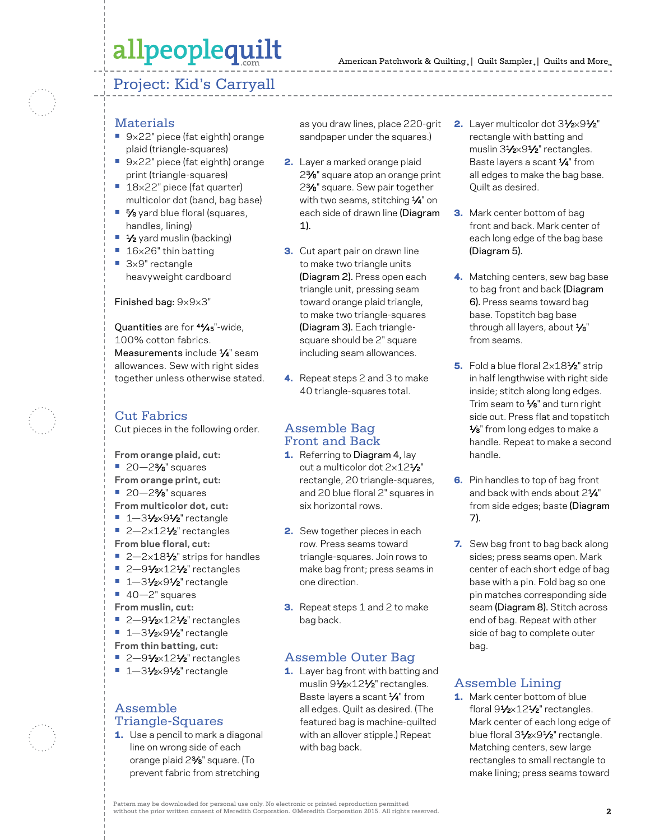#### Project: Kid's Carryall



#### **Materials**

- **•** 9×22" piece (fat eighth) orange plaid (triangle-squares)
- **•** 9×22" piece (fat eighth) orange print (triangle-squares)
- **•** 18×22" piece (fat quarter) multicolor dot (band, bag base)
- **•** 5⁄8 yard blue floral (squares, handles, lining)
- **•** 1⁄2 yard muslin (backing)
- **•** 16×26" thin batting
- 3×9" rectangle heavyweight cardboard

#### Finished bag: 9×9×3"

Quantities are for 44⁄45"-wide, 100% cotton fabrics. Measurements include  $\frac{1}{4}$ " seam allowances. Sew with right sides together unless otherwise stated.

#### Cut Fabrics

Cut pieces in the following order.

- **From orange plaid, cut:**
- **•** 20—23⁄8" squares
- **From orange print, cut:**
- **•** 20—23⁄8" squares
- **From multicolor dot, cut:**
- **•** 1-31/2×91/2" rectangle ■ 2-2×12<sup>1</sup>⁄<sub>2</sub>" rectangles
- **From blue floral, cut:**
- 2-2×18<sup>1</sup>⁄<sub>2</sub>" strips for handles
- 2-91⁄<sub>2×12</sub>1/<sub>2</sub>" rectangles
- **•** 1—31⁄2×91⁄2" rectangle
- **•** 40—2" squares
- **From muslin, cut:**
- 2-91⁄2×12<sup>1</sup>/<sub>2</sub>" rectangles
- 1-31⁄2×91⁄2" rectangle
- **From thin batting, cut:**
- 2-91⁄<sub>2×12</sub>1/<sub>2</sub>" rectangles
- **•** 1—31⁄2×91⁄2" rectangle

#### Assemble Triangle-Squares

1. Use a pencil to mark a diagonal line on wrong side of each orange plaid 23⁄8" square. (To prevent fabric from stretching

as you draw lines, place 220-grit 2. Layer multicolor dot 3½×9½" sandpaper under the squares.)

- 2. Layer a marked orange plaid 23⁄8" square atop an orange print 23⁄8" square. Sew pair together with two seams, stitching  $\frac{1}{4}$ " on each side of drawn line (Diagram 1).
- **3.** Cut apart pair on drawn line to make two triangle units (Diagram 2). Press open each triangle unit, pressing seam toward orange plaid triangle, to make two triangle-squares (Diagram 3). Each trianglesquare should be 2" square including seam allowances.
- 4. Repeat steps 2 and 3 to make 40 triangle-squares total.

#### Assemble Bag Front and Back

- 1. Referring to Diagram 4, lay out a multicolor dot 2×121⁄2" rectangle, 20 triangle-squares, and 20 blue floral 2" squares in six horizontal rows.
- 2. Sew together pieces in each row. Press seams toward triangle-squares. Join rows to make bag front; press seams in one direction.
- **3.** Repeat steps 1 and 2 to make bag back.

#### Assemble Outer Bag

1. Layer bag front with batting and muslin 91/2×121/2" rectangles. Baste layers a scant 1/4" from all edges. Quilt as desired. (The featured bag is machine-quilted with an allover stipple.) Repeat with bag back.

- rectangle with batting and muslin 31/2×91/2" rectangles. Baste layers a scant  $\frac{1}{4}$ " from all edges to make the bag base. Quilt as desired.
- 3. Mark center bottom of bag front and back. Mark center of each long edge of the bag base (Diagram 5).
- 4. Matching centers, sew bag base to bag front and back (Diagram 6). Press seams toward bag base. Topstitch bag base through all layers, about  $\frac{1}{8}$ " from seams.
- 5. Fold a blue floral 2×181⁄2" strip in half lengthwise with right side inside; stitch along long edges. Trim seam to  $\frac{1}{8}$ " and turn right side out. Press flat and topstitch 1⁄8" from long edges to make a handle. Repeat to make a second handle.
- **6.** Pin handles to top of bag front and back with ends about 21⁄4" from side edges; baste (Diagram 7).
- 7. Sew bag front to bag back along sides; press seams open. Mark center of each short edge of bag base with a pin. Fold bag so one pin matches corresponding side seam (Diagram 8). Stitch across end of bag. Repeat with other side of bag to complete outer bag.

#### Assemble Lining

1. Mark center bottom of blue floral 91/2×121/2" rectangles. Mark center of each long edge of blue floral 31/2×91/2" rectangle. Matching centers, sew large rectangles to small rectangle to make lining; press seams toward

Pattern may be downloaded for personal use only. No electronic or printed reproduction permitted without the prior written consent of Meredith Corporation. ©Meredith Corporation 2015. All rights reserved. **2**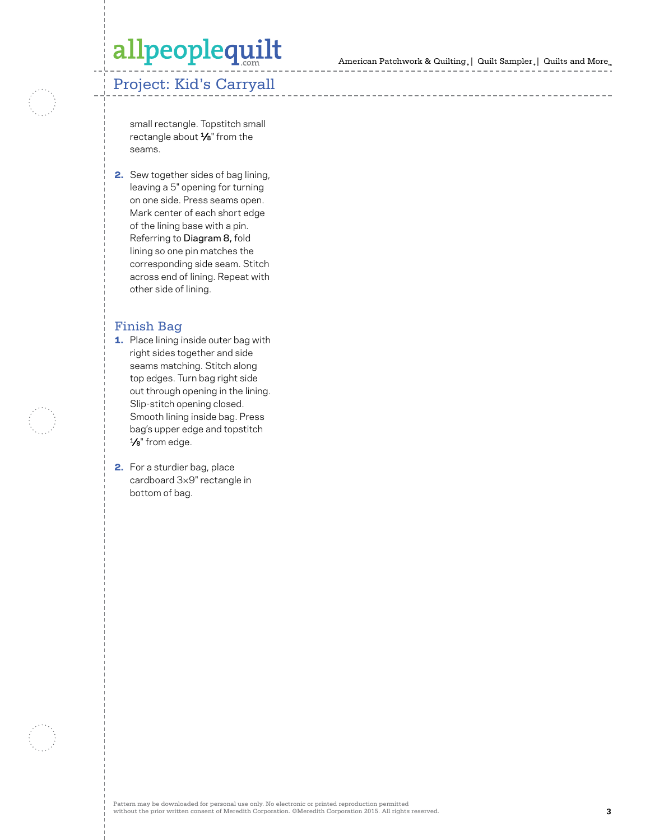American Patchwork & Quilting | Quilt Sampler | Quilts and More

### Project: Kid's Carryall

small rectangle. Topstitch small rectangle about 1⁄8" from the seams.

2. Sew together sides of bag lining, leaving a 5" opening for turning on one side. Press seams open. Mark center of each short edge of the lining base with a pin. Referring to Diagram 8, fold lining so one pin matches the corresponding side seam. Stitch across end of lining. Repeat with other side of lining.

#### Finish Bag

- 1. Place lining inside outer bag with right sides together and side seams matching. Stitch along top edges. Turn bag right side out through opening in the lining. Slip-stitch opening closed. Smooth lining inside bag. Press bag's upper edge and topstitch<br> $\frac{1}{8}$ " from edge.
- 2. For a sturdier bag, place cardboard 3 ×9" rectangle in bottom of bag.